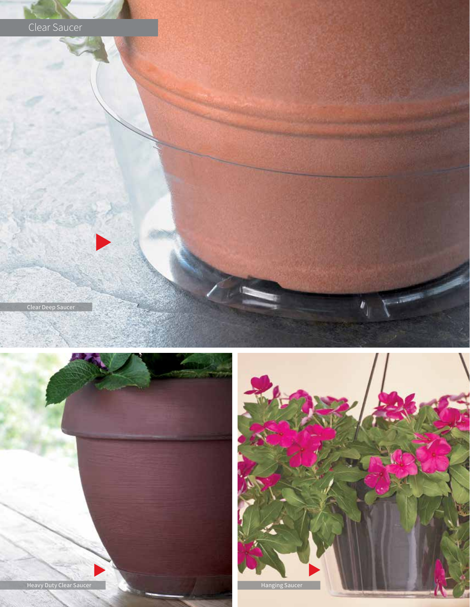